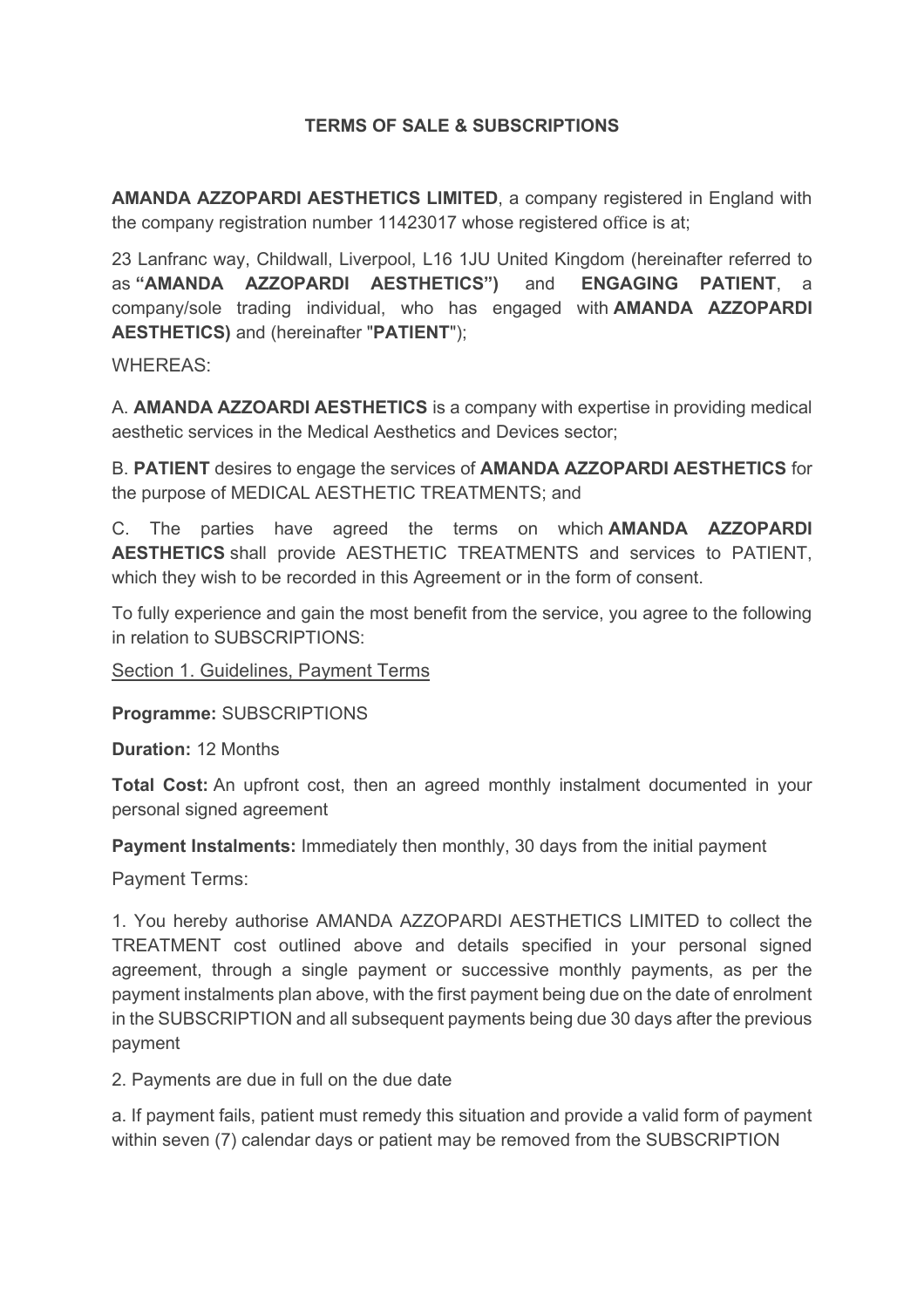## **TERMS OF SALE & SUBSCRIPTIONS**

**AMANDA AZZOPARDI AESTHETICS LIMITED**, a company registered in England with the company registration number 11423017 whose registered office is at;

23 Lanfranc way, Childwall, Liverpool, L16 1JU United Kingdom (hereinafter referred to as **"AMANDA AZZOPARDI AESTHETICS")** and **ENGAGING PATIENT**, a company/sole trading individual, who has engaged with **AMANDA AZZOPARDI AESTHETICS)** and (hereinafter "**PATIENT**");

WHEREAS:

A. **AMANDA AZZOARDI AESTHETICS** is a company with expertise in providing medical aesthetic services in the Medical Aesthetics and Devices sector;

B. **PATIENT** desires to engage the services of **AMANDA AZZOPARDI AESTHETICS** for the purpose of MEDICAL AESTHETIC TREATMENTS; and

C. The parties have agreed the terms on which **AMANDA AZZOPARDI AESTHETICS** shall provide AESTHETIC TREATMENTS and services to PATIENT, which they wish to be recorded in this Agreement or in the form of consent.

To fully experience and gain the most benefit from the service, you agree to the following in relation to SUBSCRIPTIONS:

Section 1. Guidelines, Payment Terms

**Programme:** SUBSCRIPTIONS

**Duration:** 12 Months

**Total Cost:** An upfront cost, then an agreed monthly instalment documented in your personal signed agreement

**Payment Instalments:** Immediately then monthly, 30 days from the initial payment

Payment Terms:

1. You hereby authorise AMANDA AZZOPARDI AESTHETICS LIMITED to collect the TREATMENT cost outlined above and details specified in your personal signed agreement, through a single payment or successive monthly payments, as per the payment instalments plan above, with the first payment being due on the date of enrolment in the SUBSCRIPTION and all subsequent payments being due 30 days after the previous payment

2. Payments are due in full on the due date

a. If payment fails, patient must remedy this situation and provide a valid form of payment within seven (7) calendar days or patient may be removed from the SUBSCRIPTION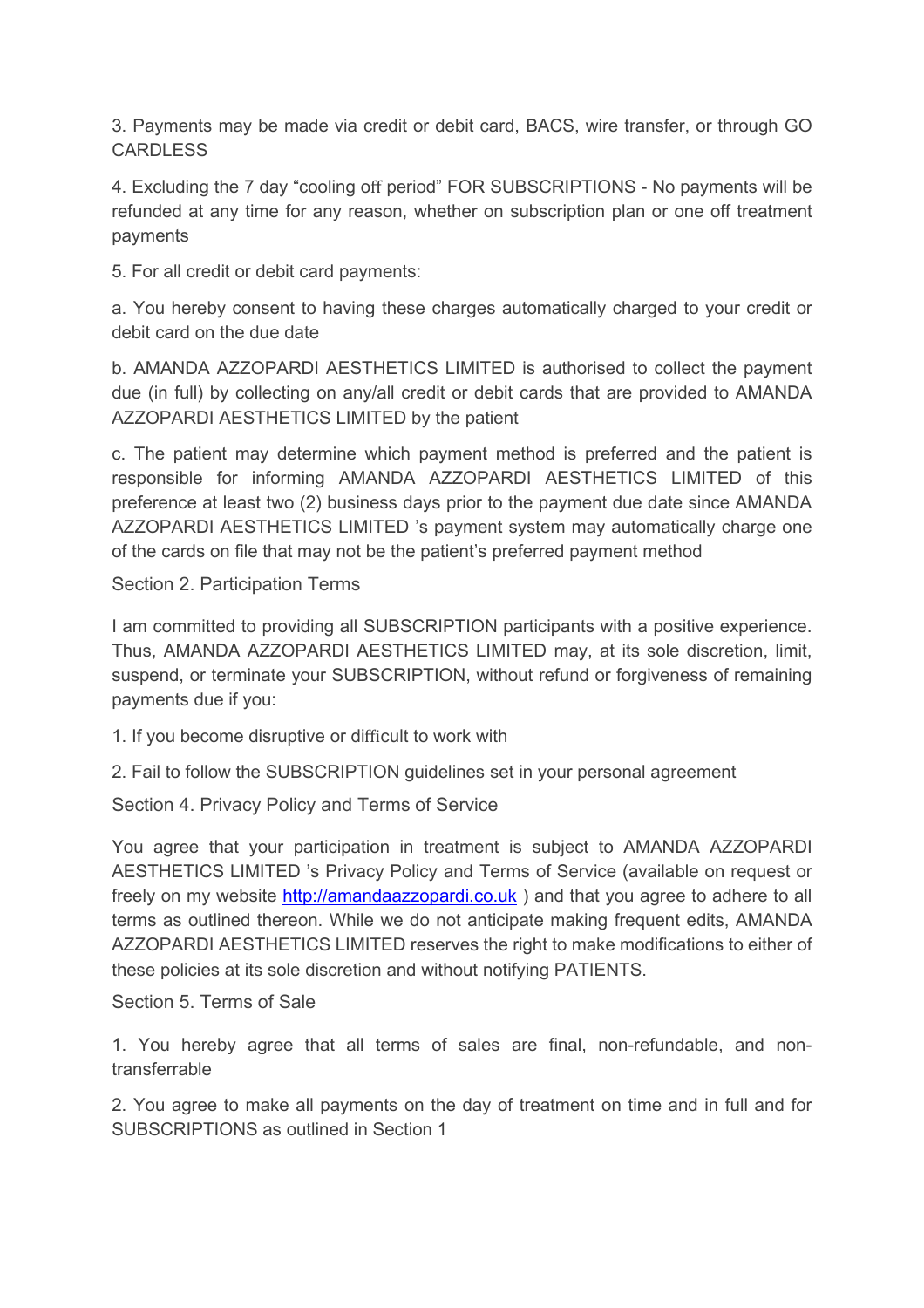3. Payments may be made via credit or debit card, BACS, wire transfer, or through GO **CARDLESS** 

4. Excluding the 7 day "cooling off period" FOR SUBSCRIPTIONS - No payments will be refunded at any time for any reason, whether on subscription plan or one off treatment payments

5. For all credit or debit card payments:

a. You hereby consent to having these charges automatically charged to your credit or debit card on the due date

b. AMANDA AZZOPARDI AESTHETICS LIMITED is authorised to collect the payment due (in full) by collecting on any/all credit or debit cards that are provided to AMANDA AZZOPARDI AESTHETICS LIMITED by the patient

c. The patient may determine which payment method is preferred and the patient is responsible for informing AMANDA AZZOPARDI AESTHETICS LIMITED of this preference at least two (2) business days prior to the payment due date since AMANDA AZZOPARDI AESTHETICS LIMITED 's payment system may automatically charge one of the cards on file that may not be the patient's preferred payment method

Section 2. Participation Terms

I am committed to providing all SUBSCRIPTION participants with a positive experience. Thus, AMANDA AZZOPARDI AESTHETICS LIMITED may, at its sole discretion, limit, suspend, or terminate your SUBSCRIPTION, without refund or forgiveness of remaining payments due if you:

1. If you become disruptive or difficult to work with

2. Fail to follow the SUBSCRIPTION guidelines set in your personal agreement

Section 4. Privacy Policy and Terms of Service

You agree that your participation in treatment is subject to AMANDA AZZOPARDI AESTHETICS LIMITED 's Privacy Policy and Terms of Service (available on request or freely on my website [http://amandaazzopardi.co.uk](http://amandaazzopardi.co.uk/)) and that you agree to adhere to all terms as outlined thereon. While we do not anticipate making frequent edits, AMANDA AZZOPARDI AESTHETICS LIMITED reserves the right to make modifications to either of these policies at its sole discretion and without notifying PATIENTS.

Section 5. Terms of Sale

1. You hereby agree that all terms of sales are final, non-refundable, and nontransferrable

2. You agree to make all payments on the day of treatment on time and in full and for SUBSCRIPTIONS as outlined in Section 1